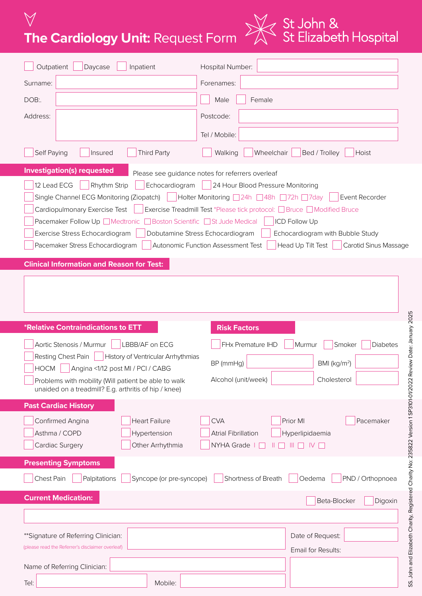**The Cardiology Unit:** Request Form



| Outpatient<br>Daycase<br>Inpatient                                                                                                                                                                                                                                                                                                                                                                                                                                                                                                                                                                                                                                                                                                   | Hospital Number:                                                                                                                       |  |  |  |
|--------------------------------------------------------------------------------------------------------------------------------------------------------------------------------------------------------------------------------------------------------------------------------------------------------------------------------------------------------------------------------------------------------------------------------------------------------------------------------------------------------------------------------------------------------------------------------------------------------------------------------------------------------------------------------------------------------------------------------------|----------------------------------------------------------------------------------------------------------------------------------------|--|--|--|
| Surname:                                                                                                                                                                                                                                                                                                                                                                                                                                                                                                                                                                                                                                                                                                                             | Forenames:                                                                                                                             |  |  |  |
| DOB:                                                                                                                                                                                                                                                                                                                                                                                                                                                                                                                                                                                                                                                                                                                                 | Male<br>Female                                                                                                                         |  |  |  |
| Address:                                                                                                                                                                                                                                                                                                                                                                                                                                                                                                                                                                                                                                                                                                                             | Postcode:                                                                                                                              |  |  |  |
|                                                                                                                                                                                                                                                                                                                                                                                                                                                                                                                                                                                                                                                                                                                                      | Tel / Mobile:                                                                                                                          |  |  |  |
| Self Paying<br><b>Third Party</b><br>Insured                                                                                                                                                                                                                                                                                                                                                                                                                                                                                                                                                                                                                                                                                         | Wheelchair<br>Walking<br>Bed / Trolley<br>Hoist                                                                                        |  |  |  |
| <b>Investigation(s) requested</b><br>Please see guidance notes for referrers overleaf<br>12 Lead ECG<br>Rhythm Strip<br>Echocardiogram<br>24 Hour Blood Pressure Monitoring<br>Single Channel ECG Monitoring (Ziopatch)   Holter Monitoring □ 24h □ 48h □ 72h □ 7day<br>Event Recorder<br>Exercise Treadmill Test *Please tick protocol: □ Bruce □ Modified Bruce<br>Cardiopulmonary Exercise Test<br>Pacemaker Follow Up ■ Medtronic ■ Boston Scientific ■ St Jude Medical<br><b>ICD Follow Up</b><br>Exercise Stress Echocardiogram<br>Dobutamine Stress Echocardiogram<br>Echocardiogram with Bubble Study<br>Head Up Tilt Test<br>Pacemaker Stress Echocardiogram<br>Autonomic Function Assessment Test<br>Carotid Sinus Massage |                                                                                                                                        |  |  |  |
| <b>Clinical Information and Reason for Test:</b>                                                                                                                                                                                                                                                                                                                                                                                                                                                                                                                                                                                                                                                                                     |                                                                                                                                        |  |  |  |
|                                                                                                                                                                                                                                                                                                                                                                                                                                                                                                                                                                                                                                                                                                                                      |                                                                                                                                        |  |  |  |
|                                                                                                                                                                                                                                                                                                                                                                                                                                                                                                                                                                                                                                                                                                                                      |                                                                                                                                        |  |  |  |
| *Relative Contraindications to ETT                                                                                                                                                                                                                                                                                                                                                                                                                                                                                                                                                                                                                                                                                                   | <b>Risk Factors</b>                                                                                                                    |  |  |  |
| Aortic Stenosis / Murmur<br>LBBB/AF on ECG<br>History of Ventricular Arrhythmias<br>Resting Chest Pain                                                                                                                                                                                                                                                                                                                                                                                                                                                                                                                                                                                                                               | FHx Premature IHD<br>Murmur<br>Smoker<br><b>Diabetes</b>                                                                               |  |  |  |
| <b>HOCM</b><br>Angina <1/12 post MI / PCI / CABG                                                                                                                                                                                                                                                                                                                                                                                                                                                                                                                                                                                                                                                                                     | BP (mmHg)<br>BMI (kg/m <sup>2</sup> )                                                                                                  |  |  |  |
| Problems with mobility (Will patient be able to walk<br>unaided on a treadmill? E.g. arthritis of hip / knee)                                                                                                                                                                                                                                                                                                                                                                                                                                                                                                                                                                                                                        | Alcohol (unit/week)<br>Cholesterol                                                                                                     |  |  |  |
| <b>Past Cardiac History</b>                                                                                                                                                                                                                                                                                                                                                                                                                                                                                                                                                                                                                                                                                                          |                                                                                                                                        |  |  |  |
| Confirmed Angina<br><b>Heart Failure</b><br>Asthma / COPD<br>Hypertension<br>Cardiac Surgery<br>Other Arrhythmia                                                                                                                                                                                                                                                                                                                                                                                                                                                                                                                                                                                                                     | <b>CVA</b><br>Prior MI<br>Pacemaker<br><b>Atrial Fibrillation</b><br>Hyperlipidaemia<br>NYHA Grade   □<br>$\mathbb{H} \cap \mathbb{N}$ |  |  |  |
| <b>Presenting Symptoms</b>                                                                                                                                                                                                                                                                                                                                                                                                                                                                                                                                                                                                                                                                                                           |                                                                                                                                        |  |  |  |
| Chest Pain<br>Palpitations<br>Syncope (or pre-syncope)                                                                                                                                                                                                                                                                                                                                                                                                                                                                                                                                                                                                                                                                               | Shortness of Breath<br>Oedema<br>PND / Orthopnoea                                                                                      |  |  |  |
| <b>Current Medication:</b>                                                                                                                                                                                                                                                                                                                                                                                                                                                                                                                                                                                                                                                                                                           | Beta-Blocker<br>Digoxin                                                                                                                |  |  |  |
|                                                                                                                                                                                                                                                                                                                                                                                                                                                                                                                                                                                                                                                                                                                                      |                                                                                                                                        |  |  |  |
| ** Signature of Referring Clinician:                                                                                                                                                                                                                                                                                                                                                                                                                                                                                                                                                                                                                                                                                                 | Date of Request:                                                                                                                       |  |  |  |
| (please read the Referrer's disclaimer overleaf)                                                                                                                                                                                                                                                                                                                                                                                                                                                                                                                                                                                                                                                                                     | Email for Results:                                                                                                                     |  |  |  |
| Name of Referring Clinician:                                                                                                                                                                                                                                                                                                                                                                                                                                                                                                                                                                                                                                                                                                         |                                                                                                                                        |  |  |  |